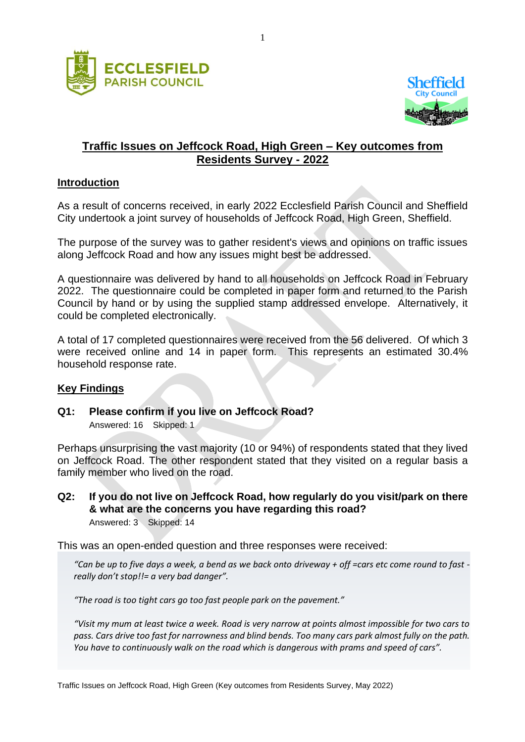



# **Traffic Issues on Jeffcock Road, High Green – Key outcomes from Residents Survey - 2022**

#### **Introduction**

As a result of concerns received, in early 2022 Ecclesfield Parish Council and Sheffield City undertook a joint survey of households of Jeffcock Road, High Green, Sheffield.

The purpose of the survey was to gather resident's views and opinions on traffic issues along Jeffcock Road and how any issues might best be addressed.

A questionnaire was delivered by hand to all households on Jeffcock Road in February 2022. The questionnaire could be completed in paper form and returned to the Parish Council by hand or by using the supplied stamp addressed envelope. Alternatively, it could be completed electronically.

A total of 17 completed questionnaires were received from the 56 delivered. Of which 3 were received online and 14 in paper form. This represents an estimated 30.4% household response rate.

#### **Key Findings**

**Q1: Please confirm if you live on Jeffcock Road?**

Answered: 16 Skipped: 1

Perhaps unsurprising the vast majority (10 or 94%) of respondents stated that they lived on Jeffcock Road. The other respondent stated that they visited on a regular basis a family member who lived on the road.

**Q2: If you do not live on Jeffcock Road, how regularly do you visit/park on there & what are the concerns you have regarding this road?** Answered: 3 Skipped: 14

This was an open-ended question and three responses were received:

*"Can be up to five days a week, a bend as we back onto driveway + off =cars etc come round to fast really don't stop!!= a very bad danger".*

*"The road is too tight cars go too fast people park on the pavement."*

*"Visit my mum at least twice a week. Road is very narrow at points almost impossible for two cars to pass. Cars drive too fast for narrowness and blind bends. Too many cars park almost fully on the path. You have to continuously walk on the road which is dangerous with prams and speed of cars".*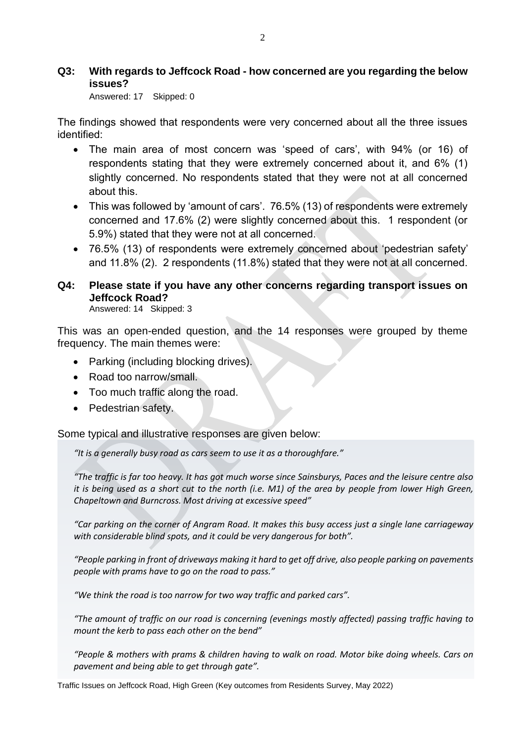#### **Q3: With regards to Jeffcock Road - how concerned are you regarding the below issues?**

Answered: 17 Skipped: 0

The findings showed that respondents were very concerned about all the three issues identified:

- The main area of most concern was 'speed of cars', with 94% (or 16) of respondents stating that they were extremely concerned about it, and 6% (1) slightly concerned. No respondents stated that they were not at all concerned about this.
- This was followed by 'amount of cars'. 76.5% (13) of respondents were extremely concerned and 17.6% (2) were slightly concerned about this. 1 respondent (or 5.9%) stated that they were not at all concerned.
- 76.5% (13) of respondents were extremely concerned about 'pedestrian safety' and 11.8% (2). 2 respondents (11.8%) stated that they were not at all concerned.

# **Q4: Please state if you have any other concerns regarding transport issues on Jeffcock Road?**

Answered: 14 Skipped: 3

This was an open-ended question, and the 14 responses were grouped by theme frequency. The main themes were:

- Parking (including blocking drives).
- Road too narrow/small.
- Too much traffic along the road.
- Pedestrian safety.

Some typical and illustrative responses are given below:

*"It is a generally busy road as cars seem to use it as a thoroughfare."*

*"The traffic is far too heavy. It has got much worse since Sainsburys, Paces and the leisure centre also it is being used as a short cut to the north (i.e. M1) of the area by people from lower High Green, Chapeltown and Burncross. Most driving at excessive speed"*

*"Car parking on the corner of Angram Road. It makes this busy access just a single lane carriageway with considerable blind spots, and it could be very dangerous for both".*

*"People parking in front of driveways making it hard to get off drive, also people parking on pavements people with prams have to go on the road to pass."*

*"We think the road is too narrow for two way traffic and parked cars".* 

*"The amount of traffic on our road is concerning (evenings mostly affected) passing traffic having to mount the kerb to pass each other on the bend"*

*"People & mothers with prams & children having to walk on road. Motor bike doing wheels. Cars on pavement and being able to get through gate".*

Traffic Issues on Jeffcock Road, High Green (Key outcomes from Residents Survey, May 2022)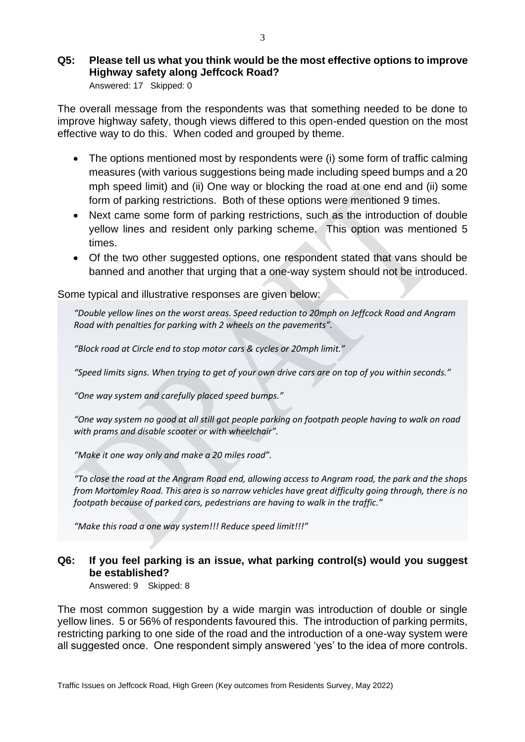# **Q5: Please tell us what you think would be the most effective options to improve Highway safety along Jeffcock Road?**

Answered: 17 Skipped: 0

The overall message from the respondents was that something needed to be done to improve highway safety, though views differed to this open-ended question on the most effective way to do this. When coded and grouped by theme.

- The options mentioned most by respondents were (i) some form of traffic calming measures (with various suggestions being made including speed bumps and a 20 mph speed limit) and (ii) One way or blocking the road at one end and (ii) some form of parking restrictions. Both of these options were mentioned 9 times.
- Next came some form of parking restrictions, such as the introduction of double yellow lines and resident only parking scheme. This option was mentioned 5 times.
- Of the two other suggested options, one respondent stated that vans should be banned and another that urging that a one-way system should not be introduced.

Some typical and illustrative responses are given below:

*"Double yellow lines on the worst areas. Speed reduction to 20mph on Jeffcock Road and Angram Road with penalties for parking with 2 wheels on the pavements".*

*"Block road at Circle end to stop motor cars & cycles or 20mph limit."*

*"Speed limits signs. When trying to get of your own drive cars are on top of you within seconds."*

*"One way system and carefully placed speed bumps."*

*"One way system no good at all still got people parking on footpath people having to walk on road with prams and disable scooter or with wheelchair".*

*"Make it one way only and make a 20 miles road".*

*"To close the road at the Angram Road end, allowing access to Angram road, the park and the shops from Mortomley Road. This area is so narrow vehicles have great difficulty going through, there is no footpath because of parked cars, pedestrians are having to walk in the traffic."*

*"Make this road a one way system!!! Reduce speed limit!!!"*

### **Q6: If you feel parking is an issue, what parking control(s) would you suggest be established?**

Answered: 9 Skipped: 8

The most common suggestion by a wide margin was introduction of double or single yellow lines. 5 or 56% of respondents favoured this. The introduction of parking permits, restricting parking to one side of the road and the introduction of a one-way system were all suggested once. One respondent simply answered 'yes' to the idea of more controls.